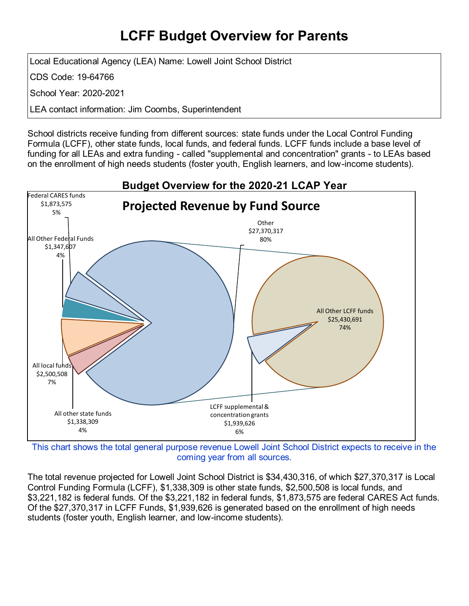## **LCFF Budget Overview for Parents**

Local Educational Agency (LEA) Name: Lowell Joint School District

CDS Code: 19-64766

School Year: 2020-2021

LEA contact information: Jim Coombs, Superintendent

School districts receive funding from different sources: state funds under the Local Control Funding Formula (LCFF), other state funds, local funds, and federal funds. LCFF funds include a base level of funding for all LEAs and extra funding - called "supplemental and concentration" grants - to LEAs based on the enrollment of high needs students (foster youth, English learners, and low-income students).



This chart shows the total general purpose revenue Lowell Joint School District expects to receive in the coming year from all sources.

The total revenue projected for Lowell Joint School District is \$34,430,316, of which \$27,370,317 is Local Control Funding Formula (LCFF), \$1,338,309 is other state funds, \$2,500,508 is local funds, and \$3,221,182 is federal funds. Of the \$3,221,182 in federal funds, \$1,873,575 are federal CARES Act funds. Of the \$27,370,317 in LCFF Funds, \$1,939,626 is generated based on the enrollment of high needs students (foster youth, English learner, and low-income students).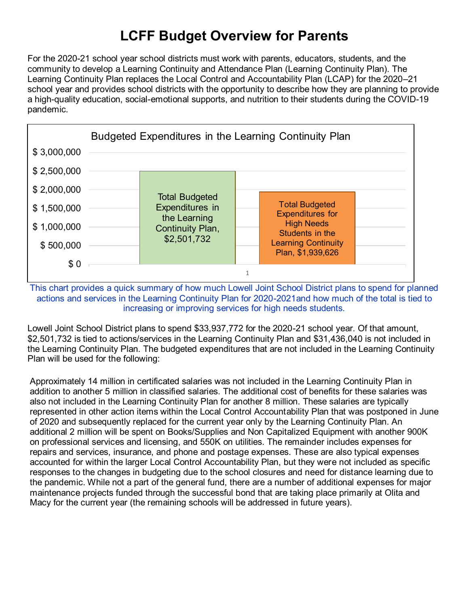# **LCFF Budget Overview for Parents**

For the 2020-21 school year school districts must work with parents, educators, students, and the community to develop a Learning Continuity and Attendance Plan (Learning Continuity Plan). The Learning Continuity Plan replaces the Local Control and Accountability Plan (LCAP) for the 2020–21 school year and provides school districts with the opportunity to describe how they are planning to provide a high-quality education, social-emotional supports, and nutrition to their students during the COVID-19 pandemic.



This chart provides a quick summary of how much Lowell Joint School District plans to spend for planned actions and services in the Learning Continuity Plan for 2020-2021and how much of the total is tied to increasing or improving services for high needs students.

Lowell Joint School District plans to spend \$33,937,772 for the 2020-21 school year. Of that amount, \$2,501,732 is tied to actions/services in the Learning Continuity Plan and \$31,436,040 is not included in the Learning Continuity Plan. The budgeted expenditures that are not included in the Learning Continuity Plan will be used for the following:

Approximately 14 million in certificated salaries was not included in the Learning Continuity Plan in addition to another 5 million in classified salaries. The additional cost of benefits for these salaries was also not included in the Learning Continuity Plan for another 8 million. These salaries are typically represented in other action items within the Local Control Accountability Plan that was postponed in June of 2020 and subsequently replaced for the current year only by the Learning Continuity Plan. An additional 2 million will be spent on Books/Supplies and Non Capitalized Equipment with another 900K on professional services and licensing, and 550K on utilities. The remainder includes expenses for repairs and services, insurance, and phone and postage expenses. These are also typical expenses accounted for within the larger Local Control Accountability Plan, but they were not included as specific responses to the changes in budgeting due to the school closures and need for distance learning due to the pandemic. While not a part of the general fund, there are a number of additional expenses for major maintenance projects funded through the successful bond that are taking place primarily at Olita and Macy for the current year (the remaining schools will be addressed in future years).